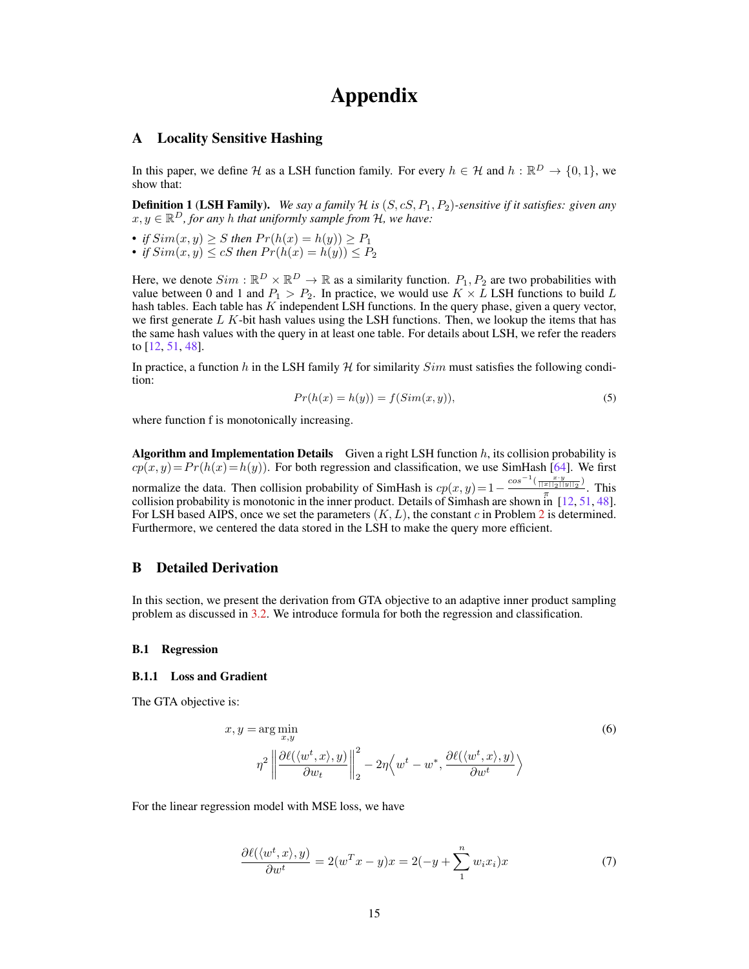# Appendix

#### A Locality Sensitive Hashing

In this paper, we define H as a LSH function family. For every  $h \in \mathcal{H}$  and  $h : \mathbb{R}^D \to \{0, 1\}$ , we show that:

**Definition 1 (LSH Family).** We say a family  $H$  is  $(S, cS, P_1, P_2)$ -sensitive if it satisfies: given any  $x, y \in \mathbb{R}^D$ , for any *h* that uniformly sample from  $\mathcal{H}$ , we have:

• *if*  $Sim(x, y) \geq S$  then  $Pr(h(x) = h(y)) \geq P_1$ 

• *if*  $Sim(x, y) \le cS$  then  $Pr(h(x) = h(y)) \le P_2$ 

Here, we denote  $Sim : \mathbb{R}^D \times \mathbb{R}^D \to \mathbb{R}$  as a similarity function.  $P_1, P_2$  are two probabilities with value between 0 and 1 and  $P_1 > P_2$ . In practice, we would use  $K \times L$  LSH functions to build L hash tables. Each table has  $K$  independent LSH functions. In the query phase, given a query vector, we first generate  $L K$ -bit hash values using the LSH functions. Then, we lookup the items that has the same hash values with the query in at least one table. For details about LSH, we refer the readers to [12, 51, 48].

In practice, a function h in the LSH family  $H$  for similarity  $Sim$  must satisfies the following condition:

$$
Pr(h(x) = h(y)) = f(Sim(x, y)),
$$
\n<sup>(5)</sup>

where function f is monotonically increasing.

Algorithm and Implementation Details Given a right LSH function  $h$ , its collision probability is  $cp(x, y) = Pr(h(x) = h(y))$ . For both regression and classification, we use SimHash [64]. We first normalize the data. Then collision probability of SimHash is  $cp(x, y) = 1 - \frac{cos^{-1}(\frac{x \cdot y}{\|x\|_2 \cdot \|y\|_2})}{\pi}$  $rac{x||2||y||_2}{\pi}$ . This collision probability is monotonic in the inner product. Details of Simhash are shown in [12, 51, 48]. For LSH based AIPS, once we set the parameters  $(K, L)$ , the constant c in Problem 2 is determined. Furthermore, we centered the data stored in the LSH to make the query more efficient.

## B Detailed Derivation

In this section, we present the derivation from GTA objective to an adaptive inner product sampling problem as discussed in 3.2. We introduce formula for both the regression and classification.

#### B.1 Regression

#### B.1.1 Loss and Gradient

The GTA objective is:

$$
x, y = \arg\min_{x,y} \tag{6}
$$

$$
\eta^2 \left\| \frac{\partial \ell(\langle w^t, x \rangle, y)}{\partial w_t} \right\|_2^2 - 2\eta \left\langle w^t - w^*, \frac{\partial \ell(\langle w^t, x \rangle, y)}{\partial w^t} \right\rangle
$$

For the linear regression model with MSE loss, we have

$$
\frac{\partial \ell(\langle w^t, x \rangle, y)}{\partial w^t} = 2(w^T x - y)x = 2(-y + \sum_{1}^{n} w_i x_i)x \tag{7}
$$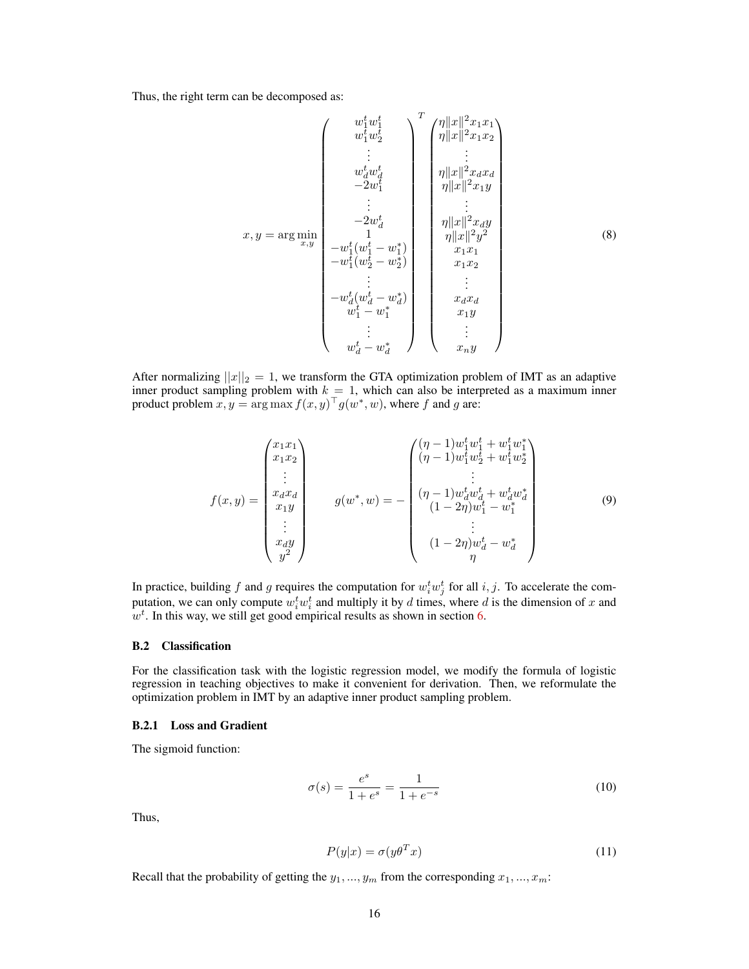Thus, the right term can be decomposed as:

$$
x, y = \arg \min_{x, y} \begin{pmatrix} w_1^t w_1^t \\ w_1^t w_2^t \\ \vdots \\ w_d^t w_d^t \\ -2w_1^t \\ \vdots \\ -2w_d^t \\ -w_1^t (w_1^t - w_1^s) \\ \vdots \\ -w_1^t (w_2^t - w_2^s) \\ \vdots \\ w_d^t - w_1^s \end{pmatrix} = \begin{pmatrix} \eta ||x||^2 x_1 x_1 \\ \eta ||x||^2 x_1 x_2 \\ \eta ||x||^2 x_2 x_d \\ \eta ||x||^2 x_3 x_d \\ \eta ||x||^2 x_4 y \\ \eta ||x||^2 y^2 \\ x_1 x_1 \\ x_1 x_2 \\ x_1 x_2 \\ x_1 x_2 \\ x_1 x_3 \\ \vdots \\ x_d x_d \\ x_1 y \\ \vdots \\ x_d x_d \\ x_1 y \\ \vdots \\ x_d y \end{pmatrix}
$$
 (8)

After normalizing  $||x||_2 = 1$ , we transform the GTA optimization problem of IMT as an adaptive inner product sampling problem with  $k = 1$ , which can also be interpreted as a maximum inner product problem  $\hat{x}, \hat{y} = \arg \max f(x, y)^{\top} g(w^*, w)$ , where f and g are:

$$
f(x,y) = \begin{pmatrix} x_1x_1 \\ x_1x_2 \\ \vdots \\ x_dx_d \\ x_1y \\ \vdots \\ x_dy \\ y^2 \end{pmatrix} \qquad g(w^*,w) = - \begin{pmatrix} (\eta - 1)w_1^t w_1^t + w_1^t w_1^* \\ (\eta - 1)w_1^t w_2^t + w_1^t w_2^* \\ \vdots \\ (\eta - 1)w_d^t w_d^t + w_d^t w_d^* \\ (1 - 2\eta)w_1^t - w_1^* \\ \vdots \\ (\eta - 2\eta)w_d^t - w_d^* \end{pmatrix} \qquad (9)
$$

In practice, building f and g requires the computation for  $w_i^t w_j^t$  for all  $i, j$ . To accelerate the computation, we can only compute  $w_i^t w_i^t$  and multiply it by d times, where d is the dimension of x and  $w<sup>t</sup>$ . In this way, we still get good empirical results as shown in section 6.

#### B.2 Classification

For the classification task with the logistic regression model, we modify the formula of logistic regression in teaching objectives to make it convenient for derivation. Then, we reformulate the optimization problem in IMT by an adaptive inner product sampling problem.

#### B.2.1 Loss and Gradient

The sigmoid function:

$$
\sigma(s) = \frac{e^s}{1 + e^s} = \frac{1}{1 + e^{-s}}\tag{10}
$$

Thus,

$$
P(y|x) = \sigma(y\theta^T x) \tag{11}
$$

Recall that the probability of getting the  $y_1, ..., y_m$  from the corresponding  $x_1, ..., x_m$ :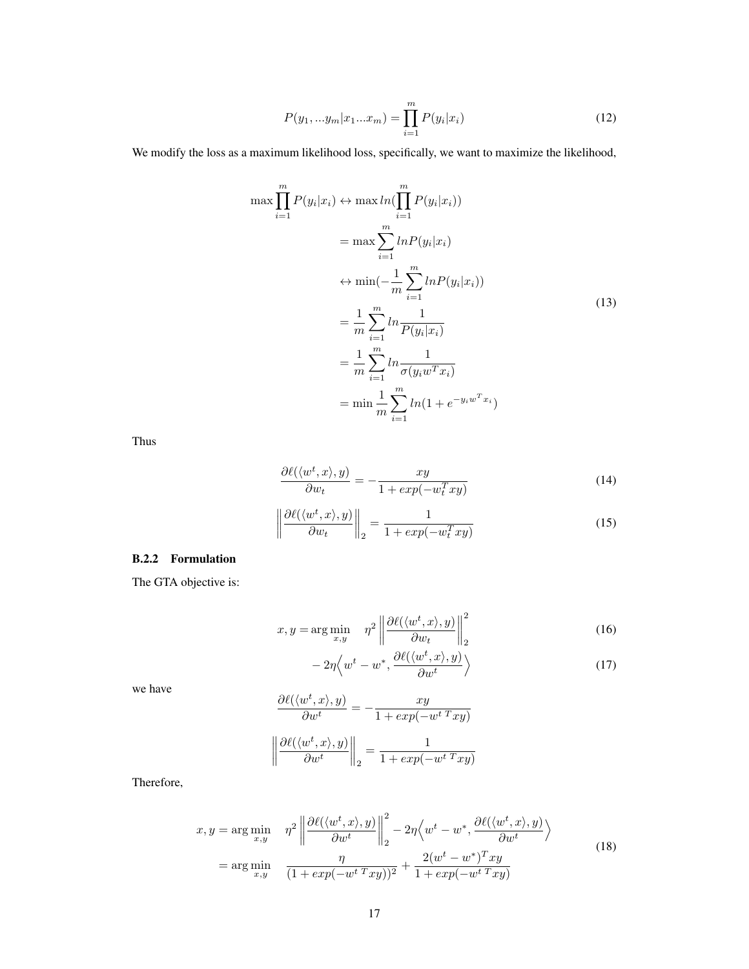$$
P(y_1, ... y_m | x_1 ... x_m) = \prod_{i=1}^{m} P(y_i | x_i)
$$
\n(12)

We modify the loss as a maximum likelihood loss, specifically, we want to maximize the likelihood,

$$
\max \prod_{i=1}^{m} P(y_i | x_i) \leftrightarrow \max \ln(\prod_{i=1}^{m} P(y_i | x_i))
$$
  
\n
$$
= \max \sum_{i=1}^{m} \ln(P(y_i | x_i))
$$
  
\n
$$
\leftrightarrow \min(-\frac{1}{m} \sum_{i=1}^{m} \ln P(y_i | x_i))
$$
  
\n
$$
= \frac{1}{m} \sum_{i=1}^{m} \ln \frac{1}{P(y_i | x_i)}
$$
  
\n
$$
= \frac{1}{m} \sum_{i=1}^{m} \ln \frac{1}{\sigma(y_i w^T x_i)}
$$
  
\n
$$
= \min \frac{1}{m} \sum_{i=1}^{m} \ln(1 + e^{-y_i w^T x_i})
$$
\n(13)

Thus

$$
\frac{\partial \ell(\langle w^t, x \rangle, y)}{\partial w_t} = -\frac{xy}{1 + exp(-w_t^T xy)}
$$
(14)

$$
\left\| \frac{\partial \ell(\langle w^t, x \rangle, y)}{\partial w_t} \right\|_2 = \frac{1}{1 + exp(-w_t^T xy)}\tag{15}
$$

# B.2.2 Formulation

The GTA objective is:

$$
x, y = \arg\min_{x, y} \quad \eta^2 \left\| \frac{\partial \ell(\langle w^t, x \rangle, y)}{\partial w_t} \right\|_2^2 \tag{16}
$$

$$
-2\eta \left\langle w^t - w^*, \frac{\partial \ell(\langle w^t, x \rangle, y)}{\partial w^t} \right\rangle \tag{17}
$$

we have

$$
\frac{\partial \ell(\langle w^t, x \rangle, y)}{\partial w^t} = -\frac{xy}{1 + exp(-w^{t} \, x \, xy)}
$$

$$
\left\| \frac{\partial \ell(\langle w^t, x \rangle, y)}{\partial w^t} \right\|_2 = \frac{1}{1 + exp(-w^{t} \, x \, xy)}
$$

Therefore,

$$
x, y = \arg\min_{x,y} \quad \eta^2 \left\| \frac{\partial \ell(\langle w^t, x \rangle, y)}{\partial w^t} \right\|_2^2 - 2\eta \langle w^t - w^*, \frac{\partial \ell(\langle w^t, x \rangle, y)}{\partial w^t} \rangle
$$
  
=  $\arg\min_{x,y} \quad \frac{\eta}{(1 + exp(-w^{t \, T} xy))^2} + \frac{2(w^t - w^*)^T xy}{1 + exp(-w^{t \, T} xy)}$  (18)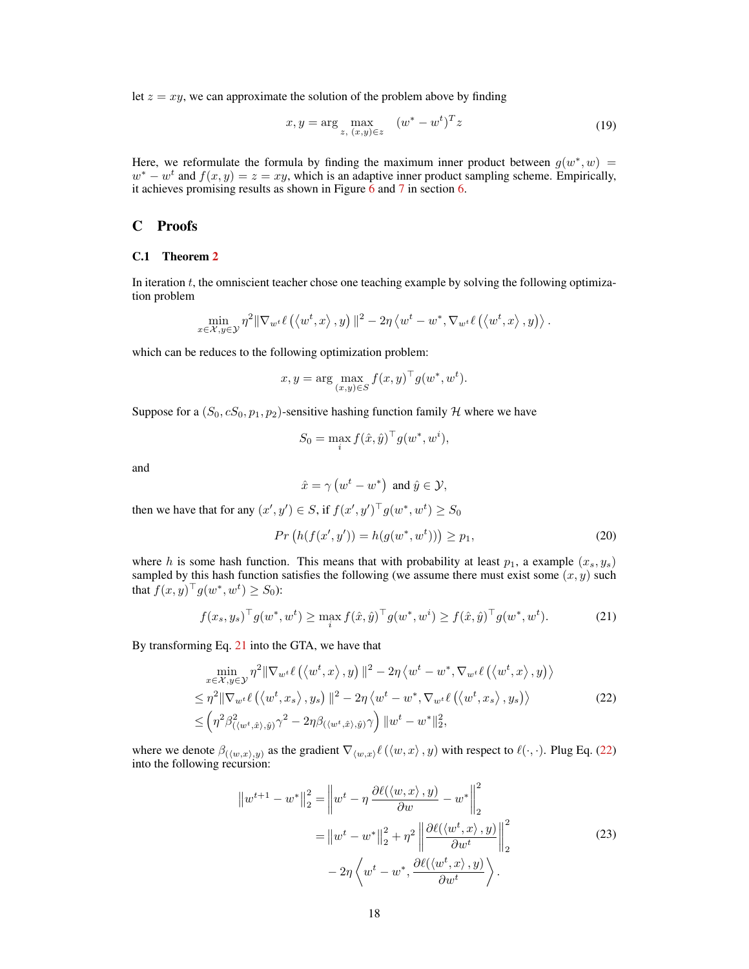let  $z = xy$ , we can approximate the solution of the problem above by finding

$$
x, y = \arg\max_{z, (x, y) \in z} (w^* - w^t)^T z
$$
 (19)

Here, we reformulate the formula by finding the maximum inner product between  $g(w^*, w) =$  $w^* - w^t$  and  $f(x, y) = z = xy$ , which is an adaptive inner product sampling scheme. Empirically, it achieves promising results as shown in Figure  $\overline{6}$  and  $\overline{7}$  in section  $\overline{6}$ .

# C Proofs

#### C.1 Theorem 2

In iteration  $t$ , the omniscient teacher chose one teaching example by solving the following optimization problem

$$
\min_{x \in \mathcal{X}, y \in \mathcal{Y}} \eta^2 \|\nabla_{w^t} \ell\left( \left\langle w^t, x \right\rangle, y \right) \|^2 - 2\eta \left\langle w^t - w^*, \nabla_{w^t} \ell\left( \left\langle w^t, x \right\rangle, y \right) \right\rangle.
$$

which can be reduces to the following optimization problem:

$$
x, y = \arg\max_{(x,y)\in S} f(x,y)^{\top} g(w^*, w^t).
$$

Suppose for a  $(S_0, cS_0, p_1, p_2)$ -sensitive hashing function family H where we have

$$
S_0 = \max_i f(\hat{x}, \hat{y})^\top g(w^*, w^i),
$$

and

$$
\hat{x} = \gamma \left( w^t - w^* \right) \text{ and } \hat{y} \in \mathcal{Y},
$$

then we have that for any  $(x', y') \in S$ , if  $f(x', y')^{\top} g(w^*, w^t) \ge S_0$ 

$$
Pr(h(f(x', y')) = h(g(w^*, w^t))) \ge p_1,
$$
\n(20)

where h is some hash function. This means that with probability at least  $p_1$ , a example  $(x_s, y_s)$ sampled by this hash function satisfies the following (we assume there must exist some  $(x, y)$  such that  $f(x, y)^{\top} g(w^*, w^t) \ge S_0$ :

$$
f(x_s, y_s)^\top g(w^*, w^t) \ge \max_i f(\hat{x}, \hat{y})^\top g(w^*, w^i) \ge f(\hat{x}, \hat{y})^\top g(w^*, w^t). \tag{21}
$$

By transforming Eq. 21 into the GTA, we have that

$$
\min_{x \in \mathcal{X}, y \in \mathcal{Y}} \eta^2 \|\nabla_{w^t} \ell(\langle w^t, x \rangle, y) \|^2 - 2\eta \langle w^t - w^*, \nabla_{w^t} \ell(\langle w^t, x \rangle, y) \rangle \leq \eta^2 \|\nabla_{w^t} \ell(\langle w^t, x_s \rangle, y_s) \|^2 - 2\eta \langle w^t - w^*, \nabla_{w^t} \ell(\langle w^t, x_s \rangle, y_s) \rangle \leq \left(\eta^2 \beta_{(\langle w^t, \hat{x} \rangle, \hat{y})}^2 - 2\eta \beta_{(\langle w^t, \hat{x} \rangle, \hat{y})} \gamma \right) \|w^t - w^*\|_2^2,
$$
\n(22)

where we denote  $\beta_{(\langle w,x\rangle,y)}$  as the gradient  $\nabla_{\langle w,x\rangle} \ell(\langle w, x\rangle, y)$  with respect to  $\ell(\cdot, \cdot)$ . Plug Eq. (22) into the following recursion:

$$
\|w^{t+1} - w^*\|_2^2 = \left\|w^t - \eta \frac{\partial \ell(\langle w, x \rangle, y)}{\partial w} - w^*\right\|_2^2
$$

$$
= \left\|w^t - w^*\right\|_2^2 + \eta^2 \left\|\frac{\partial \ell(\langle w^t, x \rangle, y)}{\partial w^t}\right\|_2^2
$$

$$
- 2\eta \left\langle w^t - w^*, \frac{\partial \ell(\langle w^t, x \rangle, y)}{\partial w^t}\right\rangle. \tag{23}
$$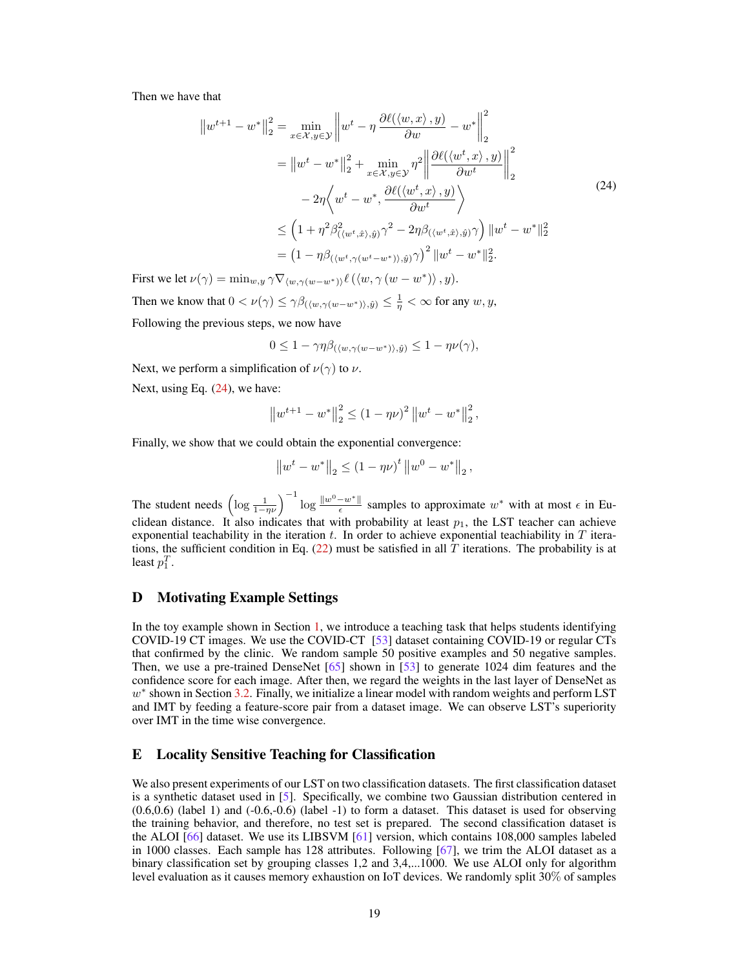Then we have that

$$
||w^{t+1} - w^*||_2^2 = \min_{x \in \mathcal{X}, y \in \mathcal{Y}} \left||w^t - \eta \frac{\partial \ell(\langle w, x \rangle, y)}{\partial w} - w^*||_2^2 \right|
$$
  
\n
$$
= ||w^t - w^*||_2^2 + \min_{x \in \mathcal{X}, y \in \mathcal{Y}} \eta^2 \left||\frac{\partial \ell(\langle w^t, x \rangle, y)}{\partial w^t}\right||_2^2
$$
  
\n
$$
-2\eta \left\langle w^t - w^*, \frac{\partial \ell(\langle w^t, x \rangle, y)}{\partial w^t} \right\rangle
$$
  
\n
$$
\leq \left(1 + \eta^2 \beta_{(\langle w^t, \hat{x} \rangle, \hat{y})}^2 \gamma^2 - 2\eta \beta_{(\langle w^t, \hat{x} \rangle, \hat{y})} \gamma \right) ||w^t - w^*||_2^2
$$
  
\n
$$
= (1 - \eta \beta_{(\langle w^t, \gamma(w^t - w^*) \rangle, \hat{y})} \gamma)^2 ||w^t - w^*||_2^2.
$$
 (24)

First we let  $\nu(\gamma) = \min_{w,y} \gamma \nabla_{\langle w, \gamma(w-w^*) \rangle} \ell(\langle w, \gamma(w - w^*) \rangle, y).$ Then we know that  $0 < \nu(\gamma) \leq \gamma \beta_{(\langle w, \gamma(w-w^*) \rangle, \hat{y})} \leq \frac{1}{\eta} < \infty$  for any  $w, y$ ,

Following the previous steps, we now have

$$
0 \le 1 - \gamma \eta \beta_{(\langle w, \gamma(w - w^*) \rangle, \hat{y})} \le 1 - \eta \nu(\gamma),
$$

Next, we perform a simplification of  $\nu(\gamma)$  to  $\nu$ .

Next, using Eq.  $(24)$ , we have:

$$
\left\|w^{t+1} - w^*\right\|_2^2 \le (1 - \eta \nu)^2 \left\|w^t - w^*\right\|_2^2,
$$

Finally, we show that we could obtain the exponential convergence:

$$
\left\|w^{t}-w^{*}\right\|_{2} \leq \left(1-\eta\nu\right)^{t} \left\|w^{0}-w^{*}\right\|_{2},
$$

The student needs  $\left(\log \frac{1}{1-\eta \nu}\right)^{-1} \log \frac{\|w^0 - w^*\|}{\epsilon}$  $\frac{-w^*}{\epsilon}$  samples to approximate  $w^*$  with at most  $\epsilon$  in Euclidean distance. It also indicates that with probability at least  $p_1$ , the LST teacher can achieve exponential teachability in the iteration t. In order to achieve exponential teachiability in  $T$  iterations, the sufficient condition in Eq.  $(22)$  must be satisfied in all T iterations. The probability is at least  $p_1^T$ .

# D Motivating Example Settings

In the toy example shown in Section 1, we introduce a teaching task that helps students identifying COVID-19 CT images. We use the COVID-CT [53] dataset containing COVID-19 or regular CTs that confirmed by the clinic. We random sample 50 positive examples and 50 negative samples. Then, we use a pre-trained DenseNet [65] shown in [53] to generate 1024 dim features and the confidence score for each image. After then, we regard the weights in the last layer of DenseNet as  $w^*$  shown in Section 3.2. Finally, we initialize a linear model with random weights and perform LST and IMT by feeding a feature-score pair from a dataset image. We can observe LST's superiority over IMT in the time wise convergence.

#### E Locality Sensitive Teaching for Classification

We also present experiments of our LST on two classification datasets. The first classification dataset is a synthetic dataset used in [5]. Specifically, we combine two Gaussian distribution centered in  $(0.6,0.6)$  (label 1) and  $(-0.6,-0.6)$  (label -1) to form a dataset. This dataset is used for observing the training behavior, and therefore, no test set is prepared. The second classification dataset is the ALOI [66] dataset. We use its LIBSVM [61] version, which contains 108,000 samples labeled in 1000 classes. Each sample has 128 attributes. Following [67], we trim the ALOI dataset as a binary classification set by grouping classes 1,2 and 3,4,...1000. We use ALOI only for algorithm level evaluation as it causes memory exhaustion on IoT devices. We randomly split 30% of samples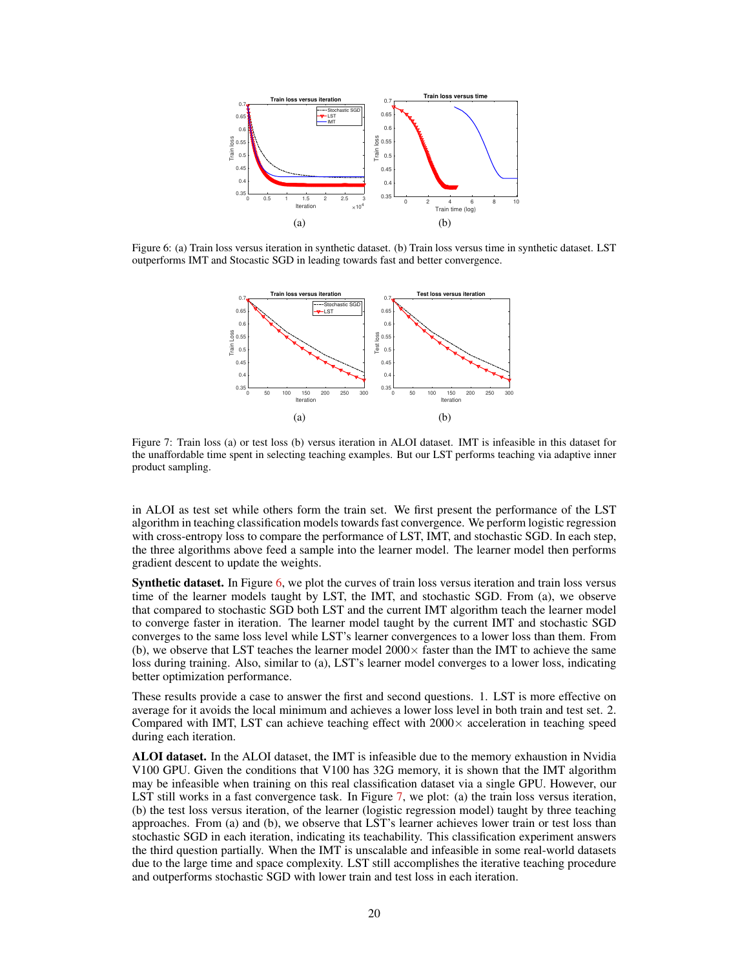

Figure 6: (a) Train loss versus iteration in synthetic dataset. (b) Train loss versus time in synthetic dataset. LST outperforms IMT and Stocastic SGD in leading towards fast and better convergence.



Figure 7: Train loss (a) or test loss (b) versus iteration in ALOI dataset. IMT is infeasible in this dataset for the unaffordable time spent in selecting teaching examples. But our LST performs teaching via adaptive inner product sampling.

in ALOI as test set while others form the train set. We first present the performance of the LST algorithm in teaching classification models towards fast convergence. We perform logistic regression with cross-entropy loss to compare the performance of LST, IMT, and stochastic SGD. In each step, the three algorithms above feed a sample into the learner model. The learner model then performs gradient descent to update the weights.

Synthetic dataset. In Figure 6, we plot the curves of train loss versus iteration and train loss versus time of the learner models taught by LST, the IMT, and stochastic SGD. From (a), we observe that compared to stochastic SGD both LST and the current IMT algorithm teach the learner model to converge faster in iteration. The learner model taught by the current IMT and stochastic SGD converges to the same loss level while LST's learner convergences to a lower loss than them. From (b), we observe that LST teaches the learner model  $2000 \times$  faster than the IMT to achieve the same loss during training. Also, similar to (a), LST's learner model converges to a lower loss, indicating better optimization performance.

These results provide a case to answer the first and second questions. 1. LST is more effective on average for it avoids the local minimum and achieves a lower loss level in both train and test set. 2. Compared with IMT, LST can achieve teaching effect with  $2000\times$  acceleration in teaching speed during each iteration.

ALOI dataset. In the ALOI dataset, the IMT is infeasible due to the memory exhaustion in Nvidia V100 GPU. Given the conditions that V100 has 32G memory, it is shown that the IMT algorithm may be infeasible when training on this real classification dataset via a single GPU. However, our LST still works in a fast convergence task. In Figure 7, we plot: (a) the train loss versus iteration, (b) the test loss versus iteration, of the learner (logistic regression model) taught by three teaching approaches. From (a) and (b), we observe that LST's learner achieves lower train or test loss than stochastic SGD in each iteration, indicating its teachability. This classification experiment answers the third question partially. When the IMT is unscalable and infeasible in some real-world datasets due to the large time and space complexity. LST still accomplishes the iterative teaching procedure and outperforms stochastic SGD with lower train and test loss in each iteration.